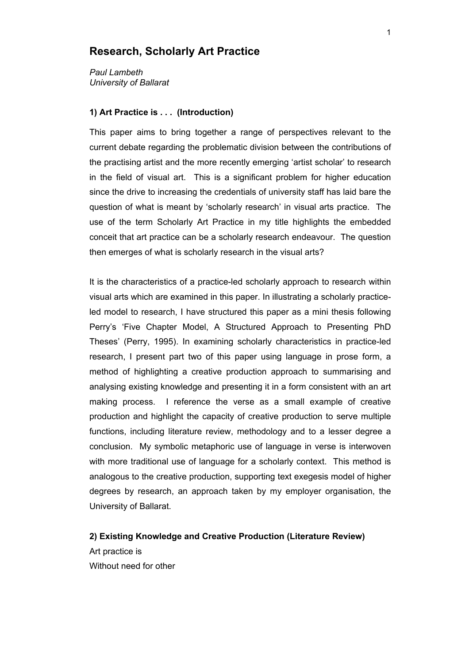## **Research, Scholarly Art Practice**

*Paul Lambeth University of Ballarat*

### **1) Art Practice is . . . (Introduction)**

This paper aims to bring together a range of perspectives relevant to the current debate regarding the problematic division between the contributions of the practising artist and the more recently emerging 'artist scholar' to research in the field of visual art. This is a significant problem for higher education since the drive to increasing the credentials of university staff has laid bare the question of what is meant by 'scholarly research' in visual arts practice. The use of the term Scholarly Art Practice in my title highlights the embedded conceit that art practice can be a scholarly research endeavour. The question then emerges of what is scholarly research in the visual arts?

It is the characteristics of a practice-led scholarly approach to research within visual arts which are examined in this paper. In illustrating a scholarly practiceled model to research, I have structured this paper as a mini thesis following Perry's 'Five Chapter Model, A Structured Approach to Presenting PhD Theses' (Perry, 1995). In examining scholarly characteristics in practice-led research, I present part two of this paper using language in prose form, a method of highlighting a creative production approach to summarising and analysing existing knowledge and presenting it in a form consistent with an art making process. I reference the verse as a small example of creative production and highlight the capacity of creative production to serve multiple functions, including literature review, methodology and to a lesser degree a conclusion. My symbolic metaphoric use of language in verse is interwoven with more traditional use of language for a scholarly context. This method is analogous to the creative production, supporting text exegesis model of higher degrees by research, an approach taken by my employer organisation, the University of Ballarat.

# **2) Existing Knowledge and Creative Production (Literature Review)** Art practice is Without need for other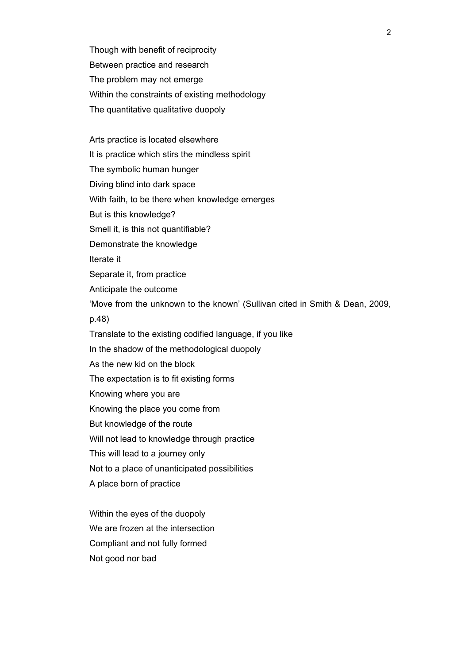Though with benefit of reciprocity Between practice and research The problem may not emerge Within the constraints of existing methodology The quantitative qualitative duopoly

Arts practice is located elsewhere It is practice which stirs the mindless spirit The symbolic human hunger Diving blind into dark space With faith, to be there when knowledge emerges But is this knowledge? Smell it, is this not quantifiable? Demonstrate the knowledge Iterate it Separate it, from practice Anticipate the outcome 'Move from the unknown to the known' (Sullivan cited in Smith & Dean, 2009, p.48) Translate to the existing codified language, if you like In the shadow of the methodological duopoly As the new kid on the block The expectation is to fit existing forms Knowing where you are Knowing the place you come from But knowledge of the route Will not lead to knowledge through practice This will lead to a journey only Not to a place of unanticipated possibilities A place born of practice

Within the eyes of the duopoly We are frozen at the intersection Compliant and not fully formed Not good nor bad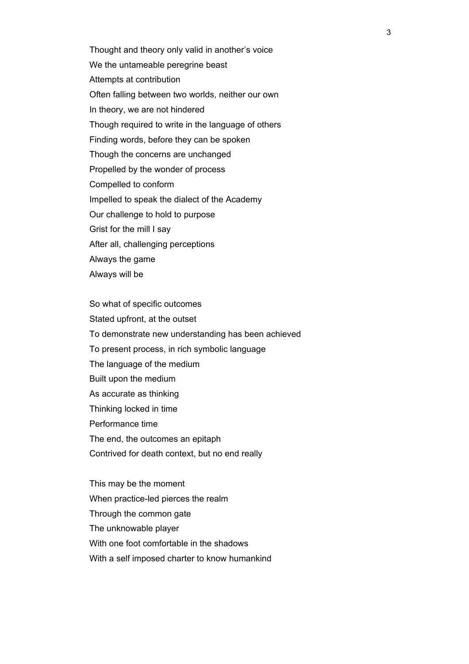Thought and theory only valid in another's voice We the untameable peregrine beast Attempts at contribution Often falling between two worlds, neither our own In theory, we are not hindered Though required to write in the language of others Finding words, before they can be spoken Though the concerns are unchanged Propelled by the wonder of process Compelled to conform Impelled to speak the dialect of the Academy Our challenge to hold to purpose Grist for the mill I say After all, challenging perceptions Always the game Always will be

So what of specific outcomes Stated upfront, at the outset To demonstrate new understanding has been achieved To present process, in rich symbolic language The language of the medium Built upon the medium As accurate as thinking Thinking locked in time Performance time The end, the outcomes an epitaph Contrived for death context, but no end really

This may be the moment When practice-led pierces the realm Through the common gate The unknowable player With one foot comfortable in the shadows With a self imposed charter to know humankind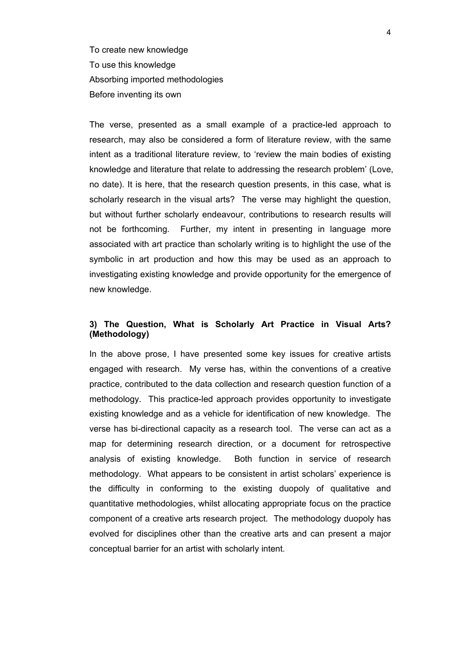To create new knowledge To use this knowledge Absorbing imported methodologies Before inventing its own

The verse, presented as a small example of a practice-led approach to research, may also be considered a form of literature review, with the same intent as a traditional literature review, to 'review the main bodies of existing knowledge and literature that relate to addressing the research problem' (Love, no date). It is here, that the research question presents, in this case, what is scholarly research in the visual arts? The verse may highlight the question, but without further scholarly endeavour, contributions to research results will not be forthcoming. Further, my intent in presenting in language more associated with art practice than scholarly writing is to highlight the use of the symbolic in art production and how this may be used as an approach to investigating existing knowledge and provide opportunity for the emergence of new knowledge.

### **3) The Question, What is Scholarly Art Practice in Visual Arts? (Methodology)**

In the above prose, I have presented some key issues for creative artists engaged with research. My verse has, within the conventions of a creative practice, contributed to the data collection and research question function of a methodology. This practice-led approach provides opportunity to investigate existing knowledge and as a vehicle for identification of new knowledge. The verse has bi-directional capacity as a research tool. The verse can act as a map for determining research direction, or a document for retrospective analysis of existing knowledge. Both function in service of research methodology. What appears to be consistent in artist scholars' experience is the difficulty in conforming to the existing duopoly of qualitative and quantitative methodologies, whilst allocating appropriate focus on the practice component of a creative arts research project. The methodology duopoly has evolved for disciplines other than the creative arts and can present a major conceptual barrier for an artist with scholarly intent.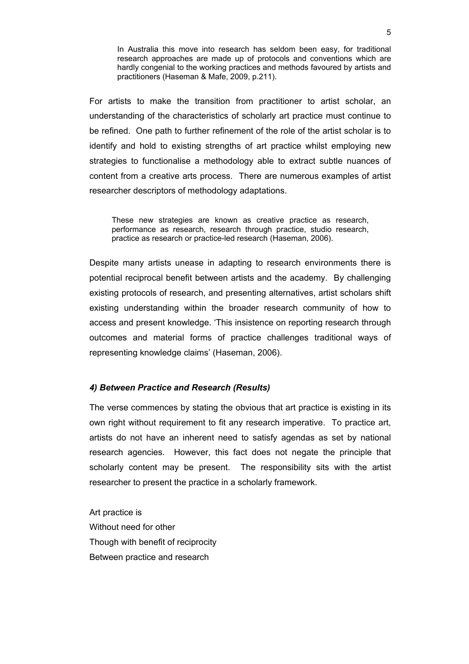In Australia this move into research has seldom been easy, for traditional research approaches are made up of protocols and conventions which are hardly congenial to the working practices and methods favoured by artists and practitioners (Haseman & Mafe, 2009, p.211).

For artists to make the transition from practitioner to artist scholar, an understanding of the characteristics of scholarly art practice must continue to be refined. One path to further refinement of the role of the artist scholar is to identify and hold to existing strengths of art practice whilst employing new strategies to functionalise a methodology able to extract subtle nuances of content from a creative arts process. There are numerous examples of artist researcher descriptors of methodology adaptations.

These new strategies are known as creative practice as research, performance as research, research through practice, studio research, practice as research or practice-led research (Haseman, 2006).

Despite many artists unease in adapting to research environments there is potential reciprocal benefit between artists and the academy. By challenging existing protocols of research, and presenting alternatives, artist scholars shift existing understanding within the broader research community of how to access and present knowledge. 'This insistence on reporting research through outcomes and material forms of practice challenges traditional ways of representing knowledge claims' (Haseman, 2006).

### *4) Between Practice and Research (Results)*

The verse commences by stating the obvious that art practice is existing in its own right without requirement to fit any research imperative. To practice art, artists do not have an inherent need to satisfy agendas as set by national research agencies. However, this fact does not negate the principle that scholarly content may be present. The responsibility sits with the artist researcher to present the practice in a scholarly framework.

Art practice is Without need for other Though with benefit of reciprocity Between practice and research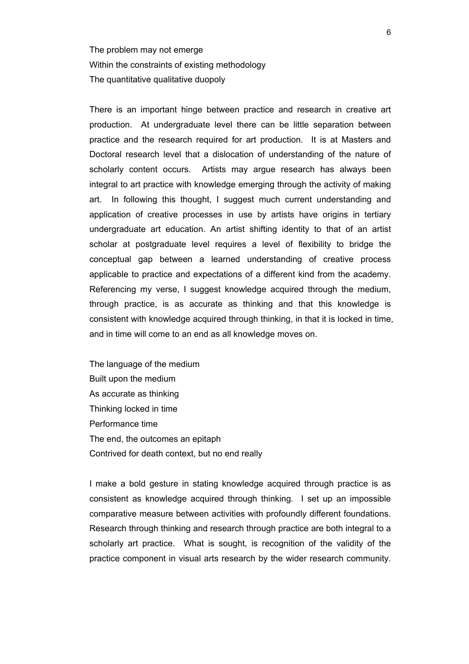The problem may not emerge Within the constraints of existing methodology The quantitative qualitative duopoly

There is an important hinge between practice and research in creative art production. At undergraduate level there can be little separation between practice and the research required for art production. It is at Masters and Doctoral research level that a dislocation of understanding of the nature of scholarly content occurs. Artists may argue research has always been integral to art practice with knowledge emerging through the activity of making art. In following this thought, I suggest much current understanding and application of creative processes in use by artists have origins in tertiary undergraduate art education. An artist shifting identity to that of an artist scholar at postgraduate level requires a level of flexibility to bridge the conceptual gap between a learned understanding of creative process applicable to practice and expectations of a different kind from the academy. Referencing my verse, I suggest knowledge acquired through the medium, through practice, is as accurate as thinking and that this knowledge is consistent with knowledge acquired through thinking, in that it is locked in time, and in time will come to an end as all knowledge moves on.

The language of the medium Built upon the medium As accurate as thinking Thinking locked in time Performance time The end, the outcomes an epitaph Contrived for death context, but no end really

I make a bold gesture in stating knowledge acquired through practice is as consistent as knowledge acquired through thinking. I set up an impossible comparative measure between activities with profoundly different foundations. Research through thinking and research through practice are both integral to a scholarly art practice. What is sought, is recognition of the validity of the practice component in visual arts research by the wider research community.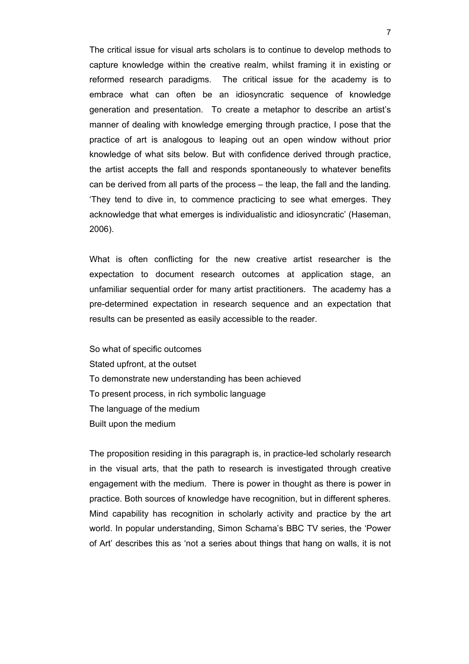The critical issue for visual arts scholars is to continue to develop methods to capture knowledge within the creative realm, whilst framing it in existing or reformed research paradigms. The critical issue for the academy is to embrace what can often be an idiosyncratic sequence of knowledge generation and presentation. To create a metaphor to describe an artist's manner of dealing with knowledge emerging through practice, I pose that the practice of art is analogous to leaping out an open window without prior knowledge of what sits below. But with confidence derived through practice, the artist accepts the fall and responds spontaneously to whatever benefits can be derived from all parts of the process – the leap, the fall and the landing*.*  'They tend to dive in, to commence practicing to see what emerges. They acknowledge that what emerges is individualistic and idiosyncratic' (Haseman, 2006).

What is often conflicting for the new creative artist researcher is the expectation to document research outcomes at application stage, an unfamiliar sequential order for many artist practitioners. The academy has a pre-determined expectation in research sequence and an expectation that results can be presented as easily accessible to the reader.

So what of specific outcomes Stated upfront, at the outset To demonstrate new understanding has been achieved To present process, in rich symbolic language The language of the medium Built upon the medium

The proposition residing in this paragraph is, in practice-led scholarly research in the visual arts, that the path to research is investigated through creative engagement with the medium. There is power in thought as there is power in practice. Both sources of knowledge have recognition, but in different spheres. Mind capability has recognition in scholarly activity and practice by the art world. In popular understanding, Simon Schama's BBC TV series, the 'Power of Art' describes this as 'not a series about things that hang on walls, it is not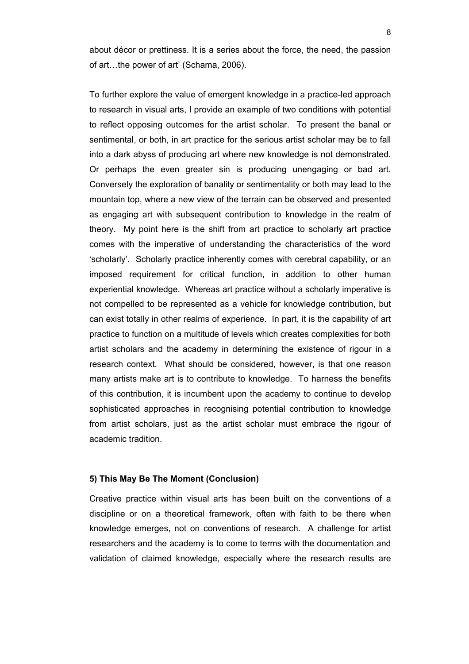about décor or prettiness. It is a series about the force, the need, the passion of art…the power of art' (Schama, 2006).

To further explore the value of emergent knowledge in a practice-led approach to research in visual arts, I provide an example of two conditions with potential to reflect opposing outcomes for the artist scholar. To present the banal or sentimental, or both, in art practice for the serious artist scholar may be to fall into a dark abyss of producing art where new knowledge is not demonstrated. Or perhaps the even greater sin is producing unengaging or bad art. Conversely the exploration of banality or sentimentality or both may lead to the mountain top, where a new view of the terrain can be observed and presented as engaging art with subsequent contribution to knowledge in the realm of theory. My point here is the shift from art practice to scholarly art practice comes with the imperative of understanding the characteristics of the word 'scholarly'. Scholarly practice inherently comes with cerebral capability, or an imposed requirement for critical function, in addition to other human experiential knowledge. Whereas art practice without a scholarly imperative is not compelled to be represented as a vehicle for knowledge contribution, but can exist totally in other realms of experience. In part, it is the capability of art practice to function on a multitude of levels which creates complexities for both artist scholars and the academy in determining the existence of rigour in a research context. What should be considered, however, is that one reason many artists make art is to contribute to knowledge. To harness the benefits of this contribution, it is incumbent upon the academy to continue to develop sophisticated approaches in recognising potential contribution to knowledge from artist scholars, just as the artist scholar must embrace the rigour of academic tradition.

### **5) This May Be The Moment (Conclusion)**

Creative practice within visual arts has been built on the conventions of a discipline or on a theoretical framework, often with faith to be there when knowledge emerges, not on conventions of research. A challenge for artist researchers and the academy is to come to terms with the documentation and validation of claimed knowledge, especially where the research results are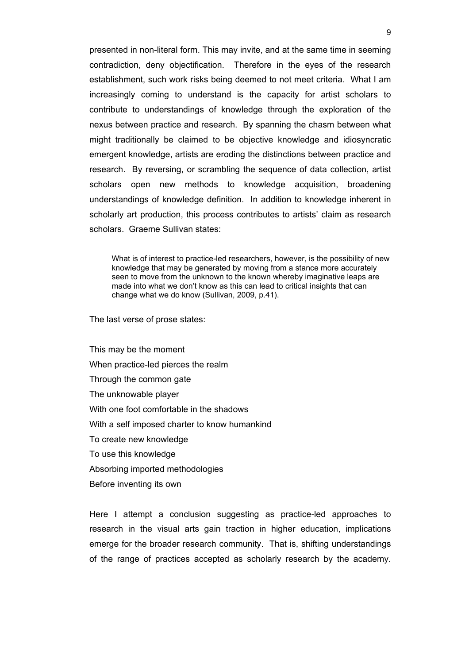presented in non-literal form. This may invite, and at the same time in seeming contradiction, deny objectification. Therefore in the eyes of the research establishment, such work risks being deemed to not meet criteria. What I am increasingly coming to understand is the capacity for artist scholars to contribute to understandings of knowledge through the exploration of the nexus between practice and research. By spanning the chasm between what might traditionally be claimed to be objective knowledge and idiosyncratic emergent knowledge, artists are eroding the distinctions between practice and research. By reversing, or scrambling the sequence of data collection, artist scholars open new methods to knowledge acquisition, broadening understandings of knowledge definition. In addition to knowledge inherent in scholarly art production, this process contributes to artists' claim as research scholars. Graeme Sullivan states:

What is of interest to practice-led researchers, however, is the possibility of new knowledge that may be generated by moving from a stance more accurately seen to move from the unknown to the known whereby imaginative leaps are made into what we don't know as this can lead to critical insights that can change what we do know (Sullivan, 2009, p.41).

The last verse of prose states:

This may be the moment When practice-led pierces the realm Through the common gate The unknowable player With one foot comfortable in the shadows With a self imposed charter to know humankind To create new knowledge To use this knowledge Absorbing imported methodologies Before inventing its own

Here I attempt a conclusion suggesting as practice-led approaches to research in the visual arts gain traction in higher education, implications emerge for the broader research community. That is, shifting understandings of the range of practices accepted as scholarly research by the academy.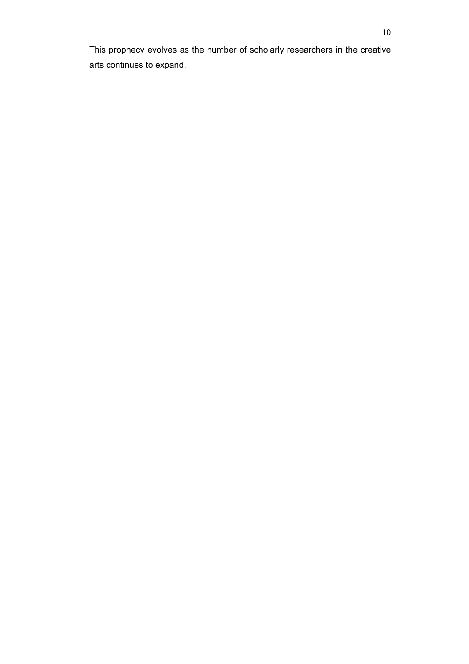This prophecy evolves as the number of scholarly researchers in the creative arts continues to expand.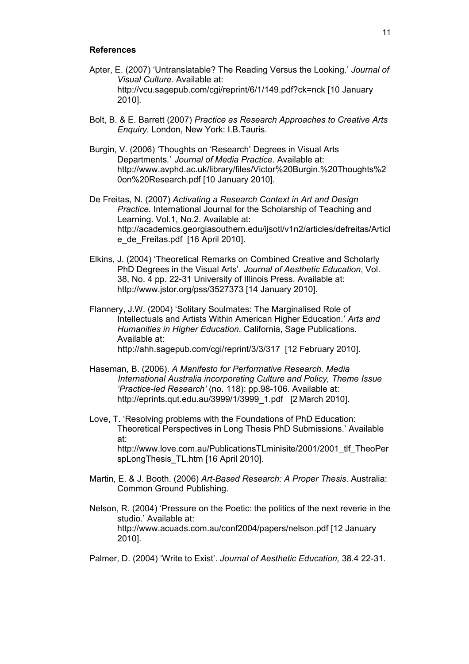#### **References**

- Apter, E. (2007) 'Untranslatable? The Reading Versus the Looking.' *Journal of Visual Culture*. Available at: http://vcu.sagepub.com/cgi/reprint/6/1/149.pdf?ck=nck [10 January 2010].
- Bolt, B. & E. Barrett (2007) *Practice as Research Approaches to Creative Arts Enquiry.* London, New York: I.B.Tauris.
- Burgin, V. (2006) 'Thoughts on 'Research' Degrees in Visual Arts Departments*.*' *Journal of Media Practice.* Available at: http://www.avphd.ac.uk/library/files/Victor%20Burgin.%20Thoughts%2 0on%20Research.pdf [10 January 2010].
- De Freitas, N. (2007) *Activating a Research Context in Art and Design Practice.* International Journal for the Scholarship of Teaching and Learning. Vol.1, No.2. Available at: http://academics.georgiasouthern.edu/ijsotl/v1n2/articles/defreitas/Articl e de Freitas.pdf [16 April 2010].
- Elkins, J. (2004) 'Theoretical Remarks on Combined Creative and Scholarly PhD Degrees in the Visual Arts'*. Journal of Aesthetic Education*, Vol. 38, No. 4 pp. 22-31 University of Illinois Press. Available at: http://www.jstor.org/pss/3527373 [14 January 2010].
- Flannery, J.W. (2004) 'Solitary Soulmates: The Marginalised Role of Intellectuals and Artists Within American Higher Education*.*' *Arts and Humanities in Higher Education*. California, Sage Publications. Available at: http://ahh.sagepub.com/cgi/reprint/3/3/317 [12 February 2010].
- Haseman, B. (2006). *A Manifesto for Performative Research. Media International Australia incorporating Culture and Policy, Theme Issue 'Practice-led Research'* (no. 118): pp.98-106. Available at: http://eprints.qut.edu.au/3999/1/3999\_1.pdf [2 March 2010].
- Love, T. 'Resolving problems with the Foundations of PhD Education: Theoretical Perspectives in Long Thesis PhD Submissions.' Available at: http://www.love.com.au/PublicationsTLminisite/2001/2001\_tlf\_TheoPer
	- spLongThesis TL.htm [16 April 2010].
- Martin, E. & J. Booth. (2006) *Art-Based Research: A Proper Thesis*. Australia: Common Ground Publishing.
- Nelson, R. (2004) 'Pressure on the Poetic: the politics of the next reverie in the studio.' Available at: http://www.acuads.com.au/conf2004/papers/nelson.pdf [12 January 2010].
- Palmer, D. (2004) 'Write to Exist'. *Journal of Aesthetic Education,* 38.4 22-31.